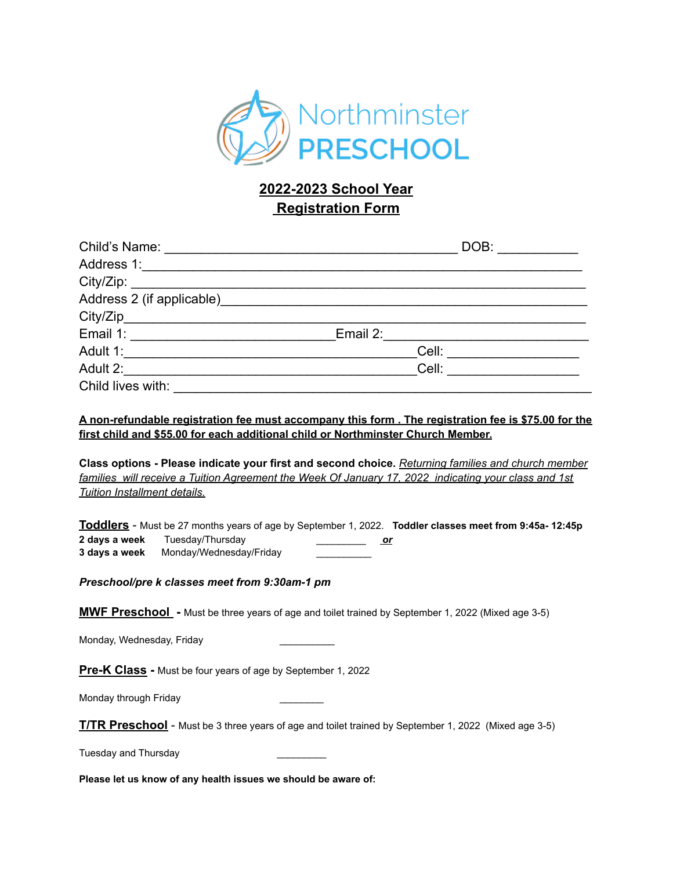

## **2022-2023 School Year Registration Form**

|                                          | DOB:                  |
|------------------------------------------|-----------------------|
|                                          |                       |
|                                          |                       |
| Address 2 (if applicable)_______________ |                       |
| $City/Zip$ $\qquad \qquad \qquad \qquad$ |                       |
|                                          | Email 2: <b>Email</b> |
| Adult 1:                                 | Cell:                 |
| Adult 2:                                 | Cell:                 |
| Child lives with:                        |                       |

## **A non-refundable registration fee must accompany this form . The registration fee is \$75.00 for the first child and \$55.00 for each additional child or Northminster Church Member.**

**Class options - Please indicate your first and second choice.** *Returning families and church member families will receive a Tuition Agreement the Week Of January 17, 2022 indicating your class and 1st Tuition Installment details.*

**Toddlers** - Must be 27 months years of age by September 1, 2022. **Toddler classes meet from 9:45a- 12:45p 2 days a week** Tuesday/Thursday \_\_\_\_\_\_\_\_\_ *or* **3 days a week** Monday/Wednesday/Friday \_\_\_\_\_\_\_\_\_\_

*Preschool/pre k classes meet from 9:30am-1 pm*

**MWF Preschool -** Must be three years of age and toilet trained by September 1, 2022 (Mixed age 3-5)

Monday, Wednesday, Friday

**Pre-K Class -** Must be four years of age by September 1, 2022

Monday through Friday

**T/TR Preschool** - Must be 3 three years of age and toilet trained by September 1, 2022 (Mixed age 3-5)

Tuesday and Thursday \_\_\_\_\_\_\_\_\_

**Please let us know of any health issues we should be aware of:**